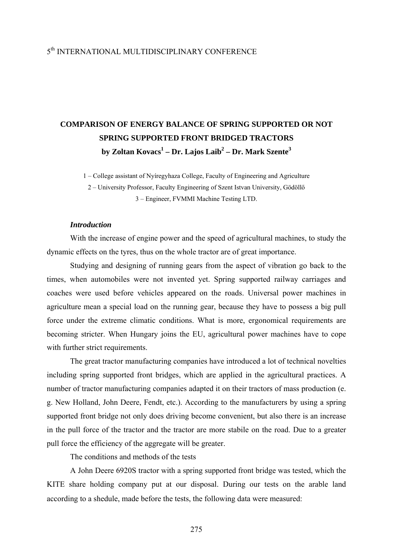## 5th INTERNATIONAL MULTIDISCIPLINARY CONFERENCE

## **COMPARISON OF ENERGY BALANCE OF SPRING SUPPORTED OR NOT SPRING SUPPORTED FRONT BRIDGED TRACTORS by Zoltan Kovacs1 – Dr. Lajos Laib2 – Dr. Mark Szente<sup>3</sup>**

1 – College assistant of Nyíregyhaza College, Faculty of Engineering and Agriculture

2 – University Professor, Faculty Engineering of Szent Istvan University, Gödöllő 3 – Engineer, FVMMI Machine Testing LTD.

## *Introduction*

 With the increase of engine power and the speed of agricultural machines, to study the dynamic effects on the tyres, thus on the whole tractor are of great importance.

 Studying and designing of running gears from the aspect of vibration go back to the times, when automobiles were not invented yet. Spring supported railway carriages and coaches were used before vehicles appeared on the roads. Universal power machines in agriculture mean a special load on the running gear, because they have to possess a big pull force under the extreme climatic conditions. What is more, ergonomical requirements are becoming stricter. When Hungary joins the EU, agricultural power machines have to cope with further strict requirements.

 The great tractor manufacturing companies have introduced a lot of technical novelties including spring supported front bridges, which are applied in the agricultural practices. A number of tractor manufacturing companies adapted it on their tractors of mass production (e. g. New Holland, John Deere, Fendt, etc.). According to the manufacturers by using a spring supported front bridge not only does driving become convenient, but also there is an increase in the pull force of the tractor and the tractor are more stabile on the road. Due to a greater pull force the efficiency of the aggregate will be greater.

The conditions and methods of the tests

 A John Deere 6920S tractor with a spring supported front bridge was tested, which the KITE share holding company put at our disposal. During our tests on the arable land according to a shedule, made before the tests, the following data were measured: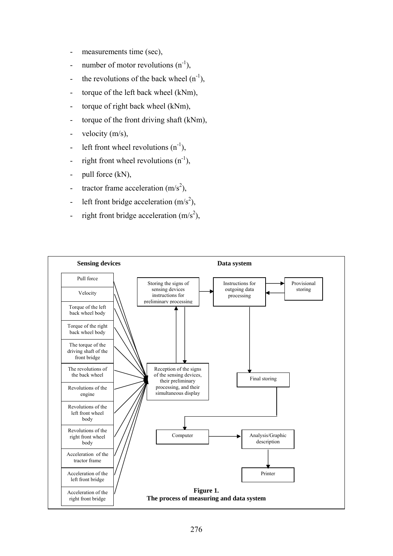- measurements time (sec),
- number of motor revolutions  $(n^{-1})$ ,
- the revolutions of the back wheel  $(n^{-1})$ ,
- torque of the left back wheel (kNm),
- torque of right back wheel (kNm),
- torque of the front driving shaft (kNm),
- velocity (m/s),
- left front wheel revolutions  $(n^{-1})$ ,
- right front wheel revolutions  $(n^{-1})$ ,
- pull force (kN),
- tractor frame acceleration  $(m/s^2)$ ,
- left front bridge acceleration  $(m/s^2)$ ,
- right front bridge acceleration  $(m/s<sup>2</sup>)$ ,

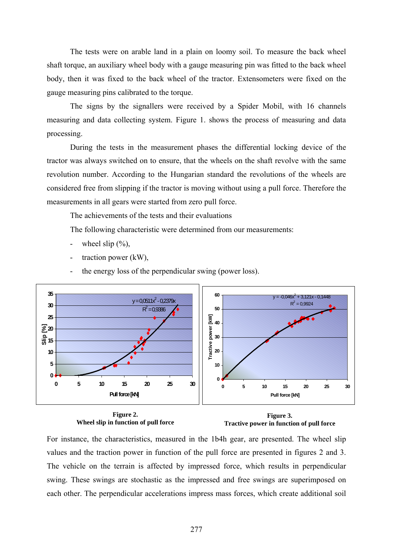The tests were on arable land in a plain on loomy soil. To measure the back wheel shaft torque, an auxiliary wheel body with a gauge measuring pin was fitted to the back wheel body, then it was fixed to the back wheel of the tractor. Extensometers were fixed on the gauge measuring pins calibrated to the torque.

 The signs by the signallers were received by a Spider Mobil, with 16 channels measuring and data collecting system. Figure 1. shows the process of measuring and data processing.

 During the tests in the measurement phases the differential locking device of the tractor was always switched on to ensure, that the wheels on the shaft revolve with the same revolution number. According to the Hungarian standard the revolutions of the wheels are considered free from slipping if the tractor is moving without using a pull force. Therefore the measurements in all gears were started from zero pull force.

The achievements of the tests and their evaluations

The following characteristic were determined from our measurements:

- wheel slip  $(\%),$
- traction power  $(kW)$ ,
- the energy loss of the perpendicular swing (power loss).



**Figure 2. Wheel slip in function of pull force** 

**Figure 3. Tractive power in function of pull force** 

For instance, the characteristics, measured in the 1b4h gear, are presented. The wheel slip values and the traction power in function of the pull force are presented in figures 2 and 3. The vehicle on the terrain is affected by impressed force, which results in perpendicular swing. These swings are stochastic as the impressed and free swings are superimposed on each other. The perpendicular accelerations impress mass forces, which create additional soil